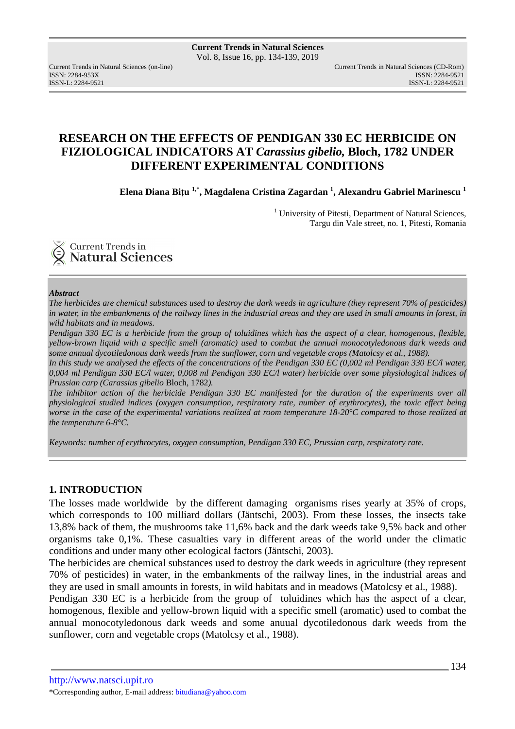ISSN: 2284-953XISSN: 2284-9521

# **RESEARCH ON THE EFFECTS OF PENDIGAN 330 EC HERBICIDE ON FIZIOLOGICAL INDICATORS AT** *Carassius gibelio,* **Bloch, 1782 UNDER DIFFERENT EXPERIMENTAL CONDITIONS**

**Elena Diana Biţu 1,\*, Magdalena Cristina Zagardan <sup>1</sup> , Alexandru Gabriel Marinescu <sup>1</sup>**

<sup>1</sup> University of Pitesti, Department of Natural Sciences, Targu din Vale street, no. 1, Pitesti, Romania



#### *Abstract*

*The herbicides are chemical substances used to destroy the dark weeds in agriculture (they represent 70% of pesticides) in water, in the embankments of the railway lines in the industrial areas and they are used in small amounts in forest, in wild habitats and in meadows.* 

*Pendigan 330 EC is a herbicide from the group of toluidines which has the aspect of a clear, homogenous, flexible, yellow-brown liquid with a specific smell (aromatic) used to combat the annual monocotyledonous dark weeds and some annual dycotiledonous dark weeds from the sunflower, corn and vegetable crops (Matolcsy et al., 1988).* 

*In this study we analysed the effects of the concentrations of the Pendigan 330 EC (0,002 ml Pendigan 330 EC/l water, 0,004 ml Pendigan 330 EC/l water, 0,008 ml Pendigan 330 EC/l water) herbicide over some physiological indices of Prussian carp (Carassius gibelio* Bloch, 1782*).* 

*The inhibitor action of the herbicide Pendigan 330 EC manifested for the duration of the experiments over all physiological studied indices (oxygen consumption, respiratory rate, number of erythrocytes), the toxic effect being worse in the case of the experimental variations realized at room temperature 18-20°C compared to those realized at the temperature 6-8°C.* 

*Keywords: number of erythrocytes, oxygen consumption, Pendigan 330 EC, Prussian carp, respiratory rate.* 

### **1. INTRODUCTION**

The losses made worldwide by the different damaging organisms rises yearly at 35% of crops, which corresponds to 100 milliard dollars (Jäntschi, 2003). From these losses, the insects take 13,8% back of them, the mushrooms take 11,6% back and the dark weeds take 9,5% back and other organisms take 0,1%. These casualties vary in different areas of the world under the climatic conditions and under many other ecological factors (Jäntschi, 2003).

The herbicides are chemical substances used to destroy the dark weeds in agriculture (they represent 70% of pesticides) in water, in the embankments of the railway lines, in the industrial areas and they are used in small amounts in forests, in wild habitats and in meadows (Matolcsy et al., 1988).

Pendigan 330 EC is a herbicide from the group of toluidines which has the aspect of a clear, homogenous, flexible and yellow-brown liquid with a specific smell (aromatic) used to combat the annual monocotyledonous dark weeds and some anuual dycotiledonous dark weeds from the sunflower, corn and vegetable crops (Matolcsy et al., 1988).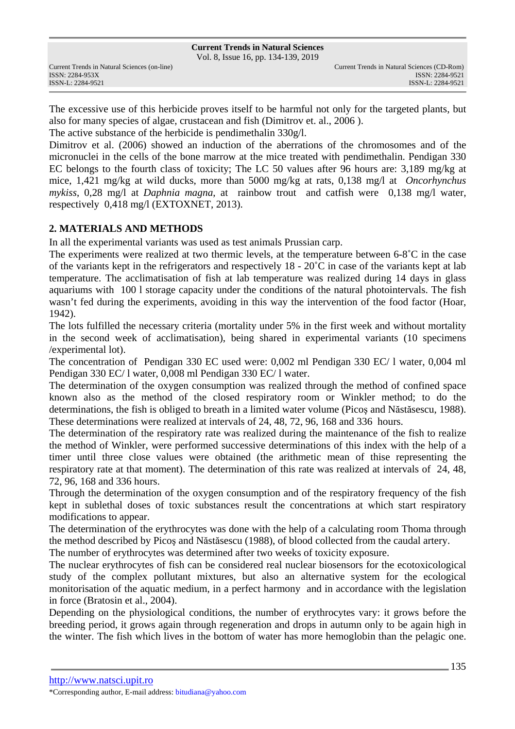Vol. 8, Issue 16, pp. 134-139, 2019

The excessive use of this herbicide proves itself to be harmful not only for the targeted plants, but also for many species of algae, crustacean and fish (Dimitrov et. al., 2006 ).

The active substance of the herbicide is pendimethalin 330g/l.

Dimitrov et al. (2006) showed an induction of the aberrations of the chromosomes and of the micronuclei in the cells of the bone marrow at the mice treated with pendimethalin. Pendigan 330 EC belongs to the fourth class of toxicity; The LC 50 values after 96 hours are: 3,189 mg/kg at mice, 1,421 mg/kg at wild ducks, more than 5000 mg/kg at rats, 0,138 mg/l at *Oncorhynchus mykiss*, 0,28 mg/l at *Daphnia magna*, at rainbow trout and catfish were 0,138 mg/l water, respectively 0,418 mg/l (EXTOXNET, 2013).

## **2. MATERIALS AND METHODS**

In all the experimental variants was used as test animals Prussian carp.

The experiments were realized at two thermic levels, at the temperature between 6-8˚C in the case of the variants kept in the refrigerators and respectively 18 - 20˚C in case of the variants kept at lab temperature. The acclimatisation of fish at lab temperature was realized during 14 days in glass aquariums with 100 l storage capacity under the conditions of the natural photointervals. The fish wasn't fed during the experiments, avoiding in this way the intervention of the food factor (Hoar, 1942).

The lots fulfilled the necessary criteria (mortality under 5% in the first week and without mortality in the second week of acclimatisation), being shared in experimental variants (10 specimens /experimental lot).

The concentration of Pendigan 330 EC used were: 0,002 ml Pendigan 330 EC/ l water, 0,004 ml Pendigan 330 EC/ l water, 0,008 ml Pendigan 330 EC/ l water.

The determination of the oxygen consumption was realized through the method of confined space known also as the method of the closed respiratory room or Winkler method; to do the determinations, the fish is obliged to breath in a limited water volume (Picoş and Năstăsescu, 1988). These determinations were realized at intervals of 24, 48, 72, 96, 168 and 336 hours.

The determination of the respiratory rate was realized during the maintenance of the fish to realize the method of Winkler, were performed successive determinations of this index with the help of a timer until three close values were obtained (the arithmetic mean of thise representing the respiratory rate at that moment). The determination of this rate was realized at intervals of 24, 48, 72, 96, 168 and 336 hours.

Through the determination of the oxygen consumption and of the respiratory frequency of the fish kept in sublethal doses of toxic substances result the concentrations at which start respiratory modifications to appear.

The determination of the erythrocytes was done with the help of a calculating room Thoma through the method described by Picoş and Năstăsescu (1988), of blood collected from the caudal artery.

The number of erythrocytes was determined after two weeks of toxicity exposure.

The nuclear erythrocytes of fish can be considered real nuclear biosensors for the ecotoxicological study of the complex pollutant mixtures, but also an alternative system for the ecological monitorisation of the aquatic medium, in a perfect harmony and in accordance with the legislation in force (Bratosin et al., 2004).

Depending on the physiological conditions, the number of erythrocytes vary: it grows before the breeding period, it grows again through regeneration and drops in autumn only to be again high in the winter. The fish which lives in the bottom of water has more hemoglobin than the pelagic one.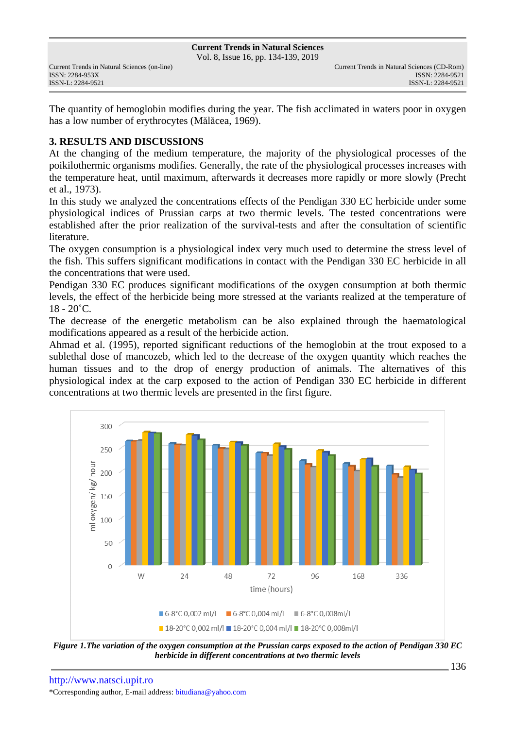Vol. 8, Issue 16, pp. 134-139, 2019

The quantity of hemoglobin modifies during the year. The fish acclimated in waters poor in oxygen has a low number of erythrocytes (Mălăcea, 1969).

### **3. RESULTS AND DISCUSSIONS**

At the changing of the medium temperature, the majority of the physiological processes of the poikilothermic organisms modifies. Generally, the rate of the physiological processes increases with the temperature heat, until maximum, afterwards it decreases more rapidly or more slowly (Precht et al., 1973).

In this study we analyzed the concentrations effects of the Pendigan 330 EC herbicide under some physiological indices of Prussian carps at two thermic levels. The tested concentrations were established after the prior realization of the survival-tests and after the consultation of scientific literature.

The oxygen consumption is a physiological index very much used to determine the stress level of the fish. This suffers significant modifications in contact with the Pendigan 330 EC herbicide in all the concentrations that were used.

Pendigan 330 EC produces significant modifications of the oxygen consumption at both thermic levels, the effect of the herbicide being more stressed at the variants realized at the temperature of  $18 - 20^{\circ}$ C.

The decrease of the energetic metabolism can be also explained through the haematological modifications appeared as a result of the herbicide action.

Ahmad et al. (1995), reported significant reductions of the hemoglobin at the trout exposed to a sublethal dose of mancozeb, which led to the decrease of the oxygen quantity which reaches the human tissues and to the drop of energy production of animals. The alternatives of this physiological index at the carp exposed to the action of Pendigan 330 EC herbicide in different concentrations at two thermic levels are presented in the first figure.



*Figure 1.The variation of the oxygen consumption at the Prussian carps exposed to the action of Pendigan 330 EC herbicide in different concentrations at two thermic levels*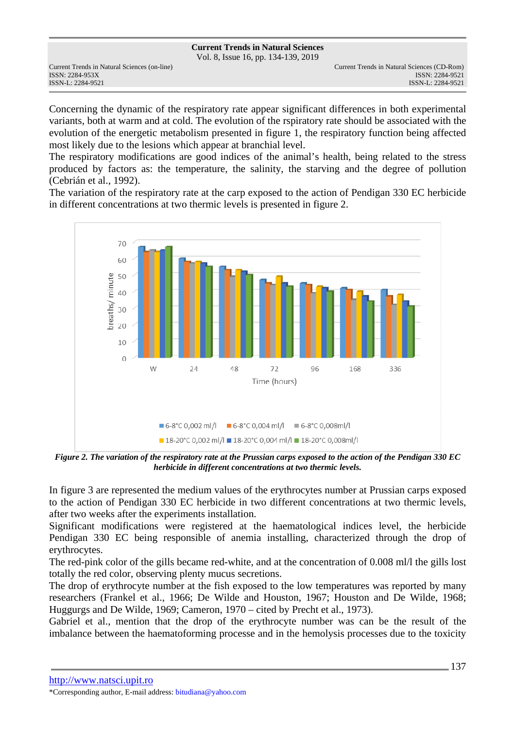Vol. 8, Issue 16, pp. 134-139, 2019

Concerning the dynamic of the respiratory rate appear significant differences in both experimental variants, both at warm and at cold. The evolution of the rspiratory rate should be associated with the evolution of the energetic metabolism presented in figure 1, the respiratory function being affected most likely due to the lesions which appear at branchial level.

The respiratory modifications are good indices of the animal's health, being related to the stress produced by factors as: the temperature, the salinity, the starving and the degree of pollution (Cebrián et al., 1992).

The variation of the respiratory rate at the carp exposed to the action of Pendigan 330 EC herbicide in different concentrations at two thermic levels is presented in figure 2.



*Figure 2. The variation of the respiratory rate at the Prussian carps exposed to the action of the Pendigan 330 EC herbicide in different concentrations at two thermic levels.* 

In figure 3 are represented the medium values of the erythrocytes number at Prussian carps exposed to the action of Pendigan 330 EC herbicide in two different concentrations at two thermic levels, after two weeks after the experiments installation.

Significant modifications were registered at the haematological indices level, the herbicide Pendigan 330 EC being responsible of anemia installing, characterized through the drop of erythrocytes.

The red-pink color of the gills became red-white, and at the concentration of 0.008 ml/l the gills lost totally the red color, observing plenty mucus secretions.

The drop of erythrocyte number at the fish exposed to the low temperatures was reported by many researchers (Frankel et al., 1966; De Wilde and Houston, 1967; Houston and De Wilde, 1968; Huggurgs and De Wilde, 1969; Cameron, 1970 – cited by Precht et al., 1973).

Gabriel et al., mention that the drop of the erythrocyte number was can be the result of the imbalance between the haematoforming processe and in the hemolysis processes due to the toxicity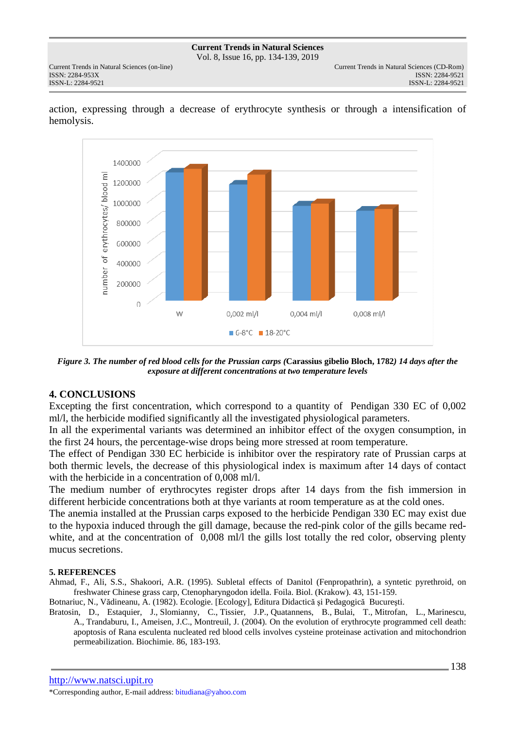Vol. 8, Issue 16, pp. 134-139, 2019

ISSN: 2284-953XISSN: 2284-9521



action, expressing through a decrease of erythrocyte synthesis or through a intensification of hemolysis.

*Figure 3. The number of red blood cells for the Prussian carps (***Carassius gibelio Bloch, 1782***) 14 days after the exposure at different concentrations at two temperature levels*

### **4. CONCLUSIONS**

Excepting the first concentration, which correspond to a quantity of Pendigan 330 EC of 0,002 ml/l, the herbicide modified significantly all the investigated physiological parameters.

In all the experimental variants was determined an inhibitor effect of the oxygen consumption, in the first 24 hours, the percentage-wise drops being more stressed at room temperature.

The effect of Pendigan 330 EC herbicide is inhibitor over the respiratory rate of Prussian carps at both thermic levels, the decrease of this physiological index is maximum after 14 days of contact with the herbicide in a concentration of 0,008 ml/l.

The medium number of erythrocytes register drops after 14 days from the fish immersion in different herbicide concentrations both at thye variants at room temperature as at the cold ones.

The anemia installed at the Prussian carps exposed to the herbicide Pendigan 330 EC may exist due to the hypoxia induced through the gill damage, because the red-pink color of the gills became redwhite, and at the concentration of 0,008 ml/l the gills lost totally the red color, observing plenty mucus secretions.

#### **5. REFERENCES**

Ahmad, F., Ali, S.S., Shakoori, A.R. (1995). Subletal effects of Danitol (Fenpropathrin), a syntetic pyrethroid, on freshwater Chinese grass carp, Ctenopharyngodon idella. Foila. Biol. (Krakow). 43, 151-159.

Botnariuc, N., Vădineanu, A. (1982). Ecologie. [Ecology], Editura Didactică şi Pedagogică Bucureşti.

Bratosin, D., Estaquier, J., Slomianny, C., Tissier, J.P., Quatannens, B., Bulai, T., Mitrofan, L., Marinescu, A., Trandaburu, I., Ameisen, J.C., Montreuil, J. (2004). On the evolution of erythrocyte programmed cell death: apoptosis of Rana esculenta nucleated red blood cells involves cysteine proteinase activation and mitochondrion permeabilization. Biochimie. 86, 183-193.